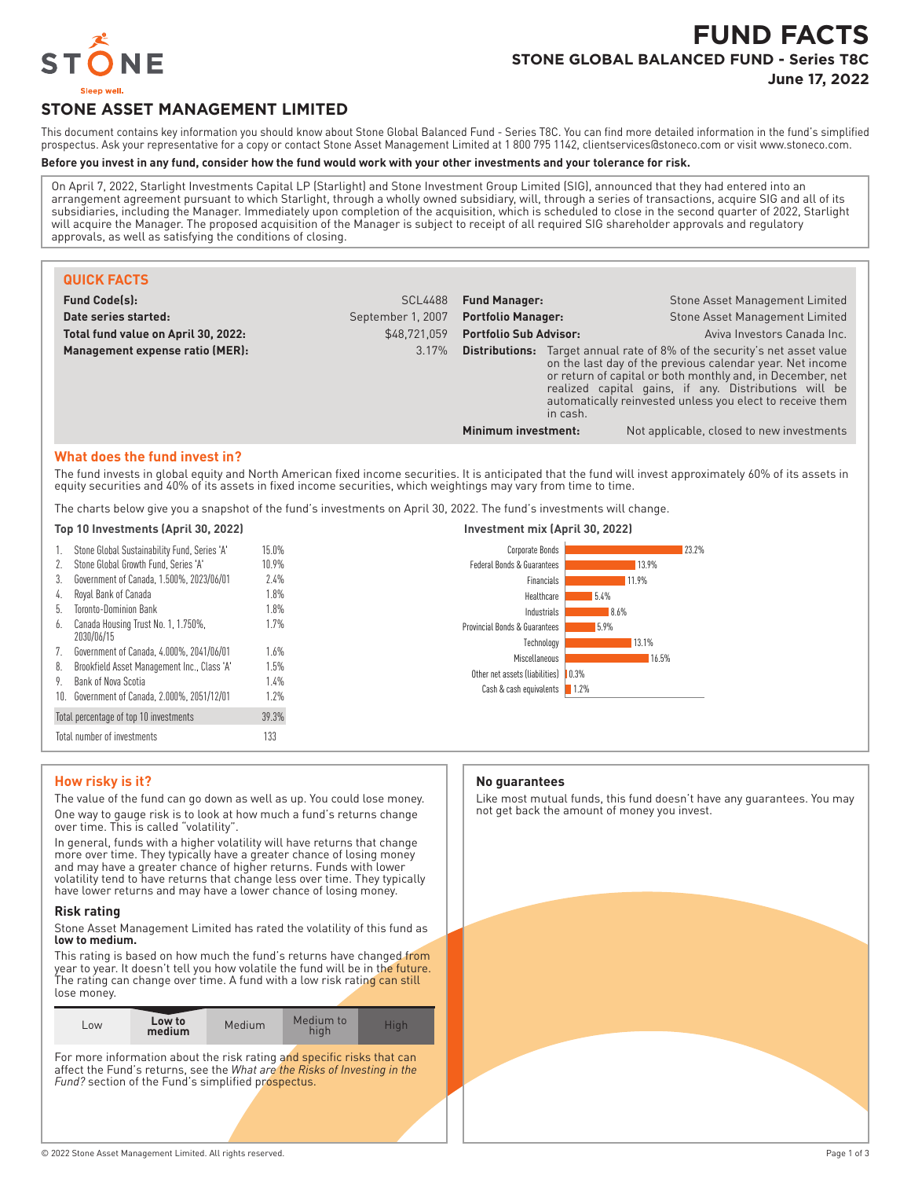

# **FUND FACTS STONE GLOBAL BALANCED FUND - Series T8C**

**June 17, 2022**

## **STONE ASSET MANAGEMENT LIMITED**

This document contains key information you should know about Stone Global Balanced Fund - Series T8C. You can find more detailed information in the fund's simplified prospectus. Ask your representative for a copy or contact Stone Asset Management Limited at 1 800 795 1142, clientservices@stoneco.com or visit www.stoneco.com.

#### **Before you invest in any fund, consider how the fund would work with your other investments and your tolerance for risk.**

On April 7, 2022, Starlight Investments Capital LP (Starlight) and Stone Investment Group Limited (SIG), announced that they had entered into an arrangement agreement pursuant to which Starlight, through a wholly owned subsidiary, will, through a series of transactions, acquire SIG and all of its subsidiaries, including the Manager. Immediately upon completion of the acquisition, which is scheduled to close in the second quarter of 2022, Starlight will acquire the Manager. The proposed acquisition of the Manager is subject to receipt of all required SIG shareholder approvals and regulatory approvals, as well as satisfying the conditions of closing.

| <b>QUICK FACTS</b>                  |                   |                               |                                                                                                                                                                                                                                                                                                                                   |
|-------------------------------------|-------------------|-------------------------------|-----------------------------------------------------------------------------------------------------------------------------------------------------------------------------------------------------------------------------------------------------------------------------------------------------------------------------------|
| <b>Fund Code(s):</b>                | <b>SCL4488</b>    | <b>Fund Manager:</b>          | Stone Asset Management Limited                                                                                                                                                                                                                                                                                                    |
| Date series started:                | September 1, 2007 | <b>Portfolio Manager:</b>     | Stone Asset Management Limited                                                                                                                                                                                                                                                                                                    |
| Total fund value on April 30, 2022: | \$48,721,059      | <b>Portfolio Sub Advisor:</b> | Aviva Investors Canada Inc.                                                                                                                                                                                                                                                                                                       |
| Management expense ratio (MER):     | 3.17%             | in cash.                      | <b>Distributions:</b> Target annual rate of 8% of the security's net asset value<br>on the last day of the previous calendar year. Net income<br>or return of capital or both monthly and, in December, net<br>realized capital gains, if any. Distributions will be<br>automatically reinvested unless you elect to receive them |
|                                     |                   | Minimum investment:           | Not applicable, closed to new investments                                                                                                                                                                                                                                                                                         |

#### **What does the fund invest in?**

The fund invests in global equity and North American fixed income securities. It is anticipated that the fund will invest approximately 60% of its assets in equity securities and 40% of its assets in fixed income securities, which weightings may vary from time to time.

The charts below give you a snapshot of the fund's investments on April 30, 2022. The fund's investments will change.

#### **Top 10 Investments (April 30, 2022) Investment mix (April 30, 2022)** Stone Global Sustainability Fund, Series 'A' 15.0% 2. Stone Global Growth Fund, Series 'A' 10.9% 3. Government of Canada, 1.500%, 2023/06/01 2.4% 4. Royal Bank of Canada 1.8% 5. Toronto-Dominion Bank 1.8% 6. Canada Housing Trust No. 1, 1.750%, 2030/06/15 1.7% 7. Government of Canada, 4.000%, 2041/06/01 1.6% 8. Brookfield Asset Management Inc., Class 'A' 1.5% 9. Bank of Nova Scotia 1.4% 10. Government of Canada, 2.000%, 2051/12/01 1.2% Total percentage of top 10 investments 39.3% Total number of investments 133 23.2% 13.9% 11.9% 5.4% 8.6% 5.9% 13.1% 16.5% Other net assets (liabilities) | 0.3% 1.2% Corporate Bonds Federal Bonds & Guarantees Financials Healthcare Industrials Provincial Bonds & Guarantees Technology **Miscellaneous** Cash & cash equivalents

#### **How risky is it?**

The value of the fund can go down as well as up. You could lose money. One way to gauge risk is to look at how much a fund's returns change over time. This is called "volatility".

In general, funds with a higher volatility will have returns that change more over time. They typically have a greater chance of losing money and may have a greater chance of higher returns. Funds with lower volatility tend to have returns that change less over time. They typically have lower returns and may have a lower chance of losing money.

#### **Risk rating**

Stone Asset Management Limited has rated the volatility of this fund as **low to medium.**

This rating is based on how much the fund's returns have changed from year to year. It doesn't tell you how volatile the fund will be in the future. The rating can change over time. A fund with a low risk rating can still lose money.

| LOW | Low to<br>medium | Medium | Medium to<br>hiah | Hiah |
|-----|------------------|--------|-------------------|------|
|-----|------------------|--------|-------------------|------|

For more information about the risk rating and specific risks that can affect the Fund's returns, see the *What are the Risks of Investing in the Fund?* section of the Fund's simplified prospectus.

#### **No guarantees**

Like most mutual funds, this fund doesn't have any guarantees. You may not get back the amount of money you invest.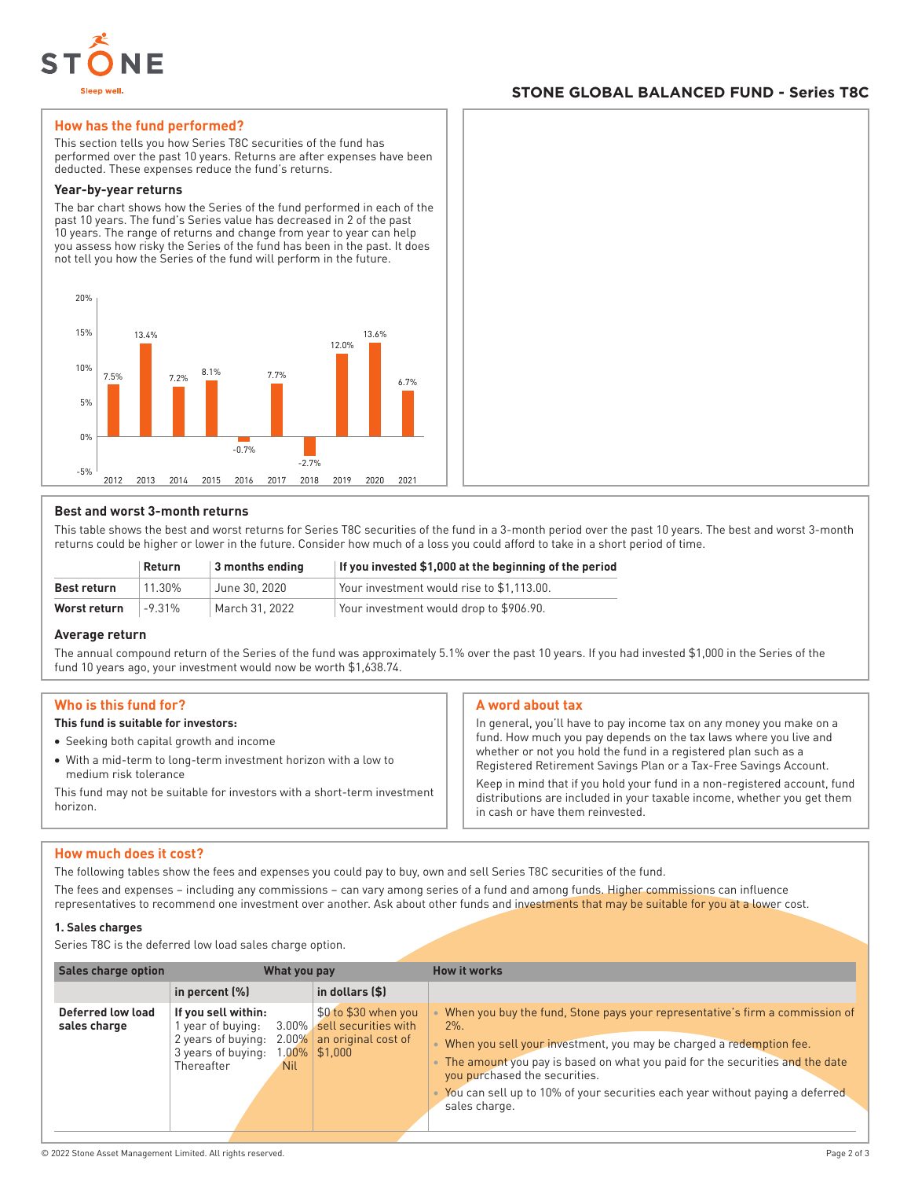

#### **STONE GLOBAL BALANCED FUND - Series T8C**

#### **How has the fund performed?**

This section tells you how Series T8C securities of the fund has performed over the past 10 years. Returns are after expenses have been deducted. These expenses reduce the fund's returns.

#### **Year-by-year returns**

The bar chart shows how the Series of the fund performed in each of the past 10 years. The fund's Series value has decreased in 2 of the past 10 years. The range of returns and change from year to year can help you assess how risky the Series of the fund has been in the past. It does not tell you how the Series of the fund will perform in the future.



#### **Best and worst 3-month returns**

This table shows the best and worst returns for Series T8C securities of the fund in a 3-month period over the past 10 years. The best and worst 3-month returns could be higher or lower in the future. Consider how much of a loss you could afford to take in a short period of time.

|              | Return   | $\vert$ 3 months ending | If you invested \$1,000 at the beginning of the period |
|--------------|----------|-------------------------|--------------------------------------------------------|
| Best return  | 11.30%   | June 30, 2020           | Your investment would rise to \$1.113.00.              |
| Worst return | $-9.31%$ | March 31, 2022          | Your investment would drop to \$906.90.                |

#### **Average return**

The annual compound return of the Series of the fund was approximately 5.1% over the past 10 years. If you had invested \$1,000 in the Series of the fund 10 years ago, your investment would now be worth \$1,638.74.

#### **Who is this fund for?**

#### **This fund is suitable for investors:**

- Seeking both capital growth and income
- With a mid-term to long-term investment horizon with a low to medium risk tolerance

This fund may not be suitable for investors with a short-term investment horizon.

#### **A word about tax**

In general, you'll have to pay income tax on any money you make on a fund. How much you pay depends on the tax laws where you live and whether or not you hold the fund in a registered plan such as a Registered Retirement Savings Plan or a Tax-Free Savings Account.

Keep in mind that if you hold your fund in a non-registered account, fund distributions are included in your taxable income, whether you get them in cash or have them reinvested.

#### **How much does it cost?**

The following tables show the fees and expenses you could pay to buy, own and sell Series T8C securities of the fund.

The fees and expenses – including any commissions – can vary among series of a fund and among funds. Higher commissions can influence representatives to recommend one investment over another. Ask about other funds and investments that may be suitable for you at a lower cost.

#### **1. Sales charges**

Series T8C is the deferred low load sales charge option.

| <b>Sales charge option</b>        | What you pay                                                                                                               |                                                                                              | <b>How it works</b>                                                                                                                                                                                                                                                                                                                                                               |
|-----------------------------------|----------------------------------------------------------------------------------------------------------------------------|----------------------------------------------------------------------------------------------|-----------------------------------------------------------------------------------------------------------------------------------------------------------------------------------------------------------------------------------------------------------------------------------------------------------------------------------------------------------------------------------|
|                                   | in percent $(\%)$                                                                                                          | in dollars (\$)                                                                              |                                                                                                                                                                                                                                                                                                                                                                                   |
| Deferred low load<br>sales charge | If you sell within:<br>year of buying:<br>2 years of buying:<br>$2.00\%$<br>3 years of buying:<br>Thereafter<br><b>Nil</b> | \$0 to \$30 when you<br>3.00% sell securities with<br>an original cost of<br>1.00%   \$1,000 | When you buy the fund, Stone pays your representative's firm a commission of<br>$2\%$ .<br>When you sell your investment, you may be charged a redemption fee.<br>The amount you pay is based on what you paid for the securities and the date<br>you purchased the securities.<br>You can sell up to 10% of your securities each year without paying a deferred<br>sales charge. |